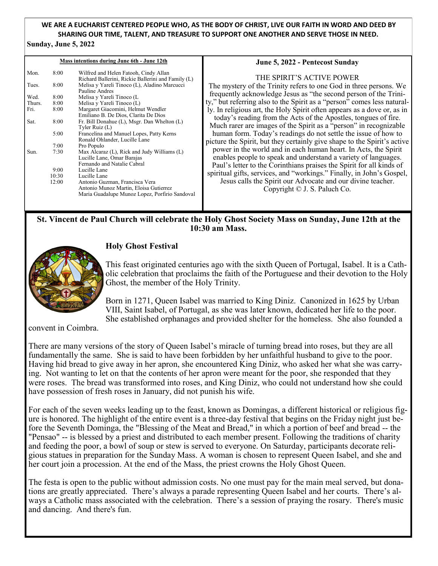# **WE ARE A EUCHARIST CENTERED PEOPLE WHO, AS THE BODY OF CHRIST, LIVE OUR FAITH IN WORD AND DEED BY SHARING OUR TIME, TALENT, AND TREASURE TO SUPPORT ONE ANOTHER AND SERVE THOSE IN NEED.**

#### **Sunday, June 5, 2022**

| Mass intentions during June 6th - June 12th |       |                                                                                                                            | June 5, 2022 - Pentecost Sunday                                                                                                                                                                           |
|---------------------------------------------|-------|----------------------------------------------------------------------------------------------------------------------------|-----------------------------------------------------------------------------------------------------------------------------------------------------------------------------------------------------------|
| Mon.                                        | 8:00  | Wilfred and Helen Fatooh, Cindy Allan<br>Richard Ballerini, Rickie Ballerini and Family (L)                                | THE SPIRIT'S ACTIVE POWER                                                                                                                                                                                 |
| Tues.                                       | 8:00  | Melisa y Yareli Tinoco (L), Aladino Marcucci<br>Pauline Andres                                                             | The mystery of the Trinity refers to one God in three persons. We                                                                                                                                         |
| Wed.                                        | 8:00  | Melisa y Yareli Tinoco (L                                                                                                  | frequently acknowledge Jesus as "the second person of the Trini-                                                                                                                                          |
| Thurs.                                      | 8:00  | Melisa y Yareli Tinoco (L)                                                                                                 | ty," but referring also to the Spirit as a "person" comes less natural-                                                                                                                                   |
| Fri.                                        | 8:00  | Margaret Giacomini, Helmut Wendler<br>Emiliano B. De Dios, Clarita De Dios                                                 | ly. In religious art, the Holy Spirit often appears as a dove or, as in<br>today's reading from the Acts of the Apostles, tongues of fire.                                                                |
| Sat.                                        | 8:00  | Fr. Bill Donahue (L), Msgr. Dan Whelton (L)<br>Tyler Ruiz (L)                                                              | Much rarer are images of the Spirit as a "person" in recognizable                                                                                                                                         |
|                                             | 5:00  | Francelina and Manuel Lopes, Patty Kerns<br>Ronald Ohlander, Lucille Lane                                                  | human form. Today's readings do not settle the issue of how to                                                                                                                                            |
|                                             | 7:00  | Pro Populo                                                                                                                 | picture the Spirit, but they certainly give shape to the Spirit's active                                                                                                                                  |
| Sun.                                        | 7:30  | Max Alcaraz (L), Rick and Judy Williams (L)<br>Lucille Lane, Omar Barajas<br>Fernando and Natalie Cabral                   | power in the world and in each human heart. In Acts, the Spirit<br>enables people to speak and understand a variety of languages.<br>Paul's letter to the Corinthians praises the Spirit for all kinds of |
|                                             | 9:00  | Lucille Lane                                                                                                               |                                                                                                                                                                                                           |
|                                             | 10:30 | Lucille Lane                                                                                                               | spiritual gifts, services, and "workings." Finally, in John's Gospel,                                                                                                                                     |
|                                             | 12:00 | Antonio Guzman, Francisca Vera<br>Antonio Munoz Martin, Eloisa Gutierrez<br>Maria Guadalupe Munoz Lopez, Porfirio Sandoval | Jesus calls the Spirit our Advocate and our divine teacher.<br>Copyright © J. S. Paluch Co.                                                                                                               |

## **St. Vincent de Paul Church will celebrate the Holy Ghost Society Mass on Sunday, June 12th at the 10:30 am Mass.**



## **Holy Ghost Festival**

This feast originated centuries ago with the sixth Queen of Portugal, Isabel. It is a Catholic celebration that proclaims the faith of the Portuguese and their devotion to the Holy Ghost, the member of the Holy Trinity.

Born in 1271, Queen Isabel was married to King Diniz. Canonized in 1625 by Urban VIII, Saint Isabel, of Portugal, as she was later known, dedicated her life to the poor. She established orphanages and provided shelter for the homeless. She also founded a

convent in Coimbra.

There are many versions of the story of Queen Isabel's miracle of turning bread into roses, but they are all fundamentally the same. She is said to have been forbidden by her unfaithful husband to give to the poor. Having hid bread to give away in her apron, she encountered King Diniz, who asked her what she was carrying. Not wanting to let on that the contents of her apron were meant for the poor, she responded that they were roses. The bread was transformed into roses, and King Diniz, who could not understand how she could have possession of fresh roses in January, did not punish his wife.

For each of the seven weeks leading up to the feast, known as Domingas, a different historical or religious figure is honored. The highlight of the entire event is a three-day festival that begins on the Friday night just before the Seventh Dominga, the "Blessing of the Meat and Bread," in which a portion of beef and bread -- the "Pensao" -- is blessed by a priest and distributed to each member present. Following the traditions of charity and feeding the poor, a bowl of soup or stew is served to everyone. On Saturday, participants decorate religious statues in preparation for the Sunday Mass. A woman is chosen to represent Queen Isabel, and she and her court join a procession. At the end of the Mass, the priest crowns the Holy Ghost Queen.

The festa is open to the public without admission costs. No one must pay for the main meal served, but donations are greatly appreciated. There's always a parade representing Queen Isabel and her courts. There's always a Catholic mass associated with the celebration. There's a session of praying the rosary. There's music and dancing. And there's fun.